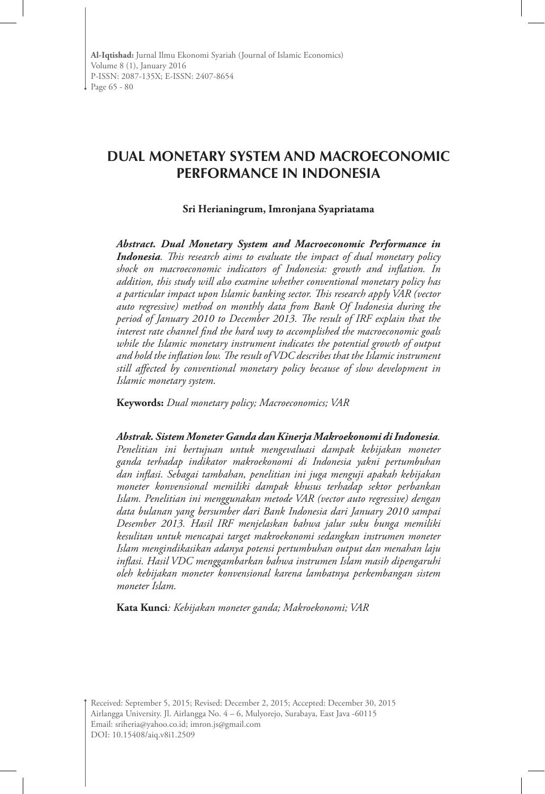# **DUAL MONETARY SYSTEM AND MACROECONOMIC PERFORMANCE IN INDONESIA**

#### **Sri Herianingrum, Imronjana Syapriatama**

*Abstract. Dual Monetary System and Macroeconomic Performance in Indonesia. This research aims to evaluate the impact of dual monetary policy shock on macroeconomic indicators of Indonesia: growth and inflation. In addition, this study will also examine whether conventional monetary policy has a particular impact upon Islamic banking sector. This research apply VAR (vector auto regressive) method on monthly data from Bank Of Indonesia during the period of January 2010 to December 2013. The result of IRF explain that the interest rate channel find the hard way to accomplished the macroeconomic goals*  while the Islamic monetary instrument indicates the potential growth of output *and hold the inflation low. The result of VDC describes that the Islamic instrument still affected by conventional monetary policy because of slow development in Islamic monetary system.* 

**Keywords:** *Dual monetary policy; Macroeconomics; VAR*

#### *Abstrak. Sistem Moneter Ganda dan Kinerja Makroekonomi di Indonesia.*

*Penelitian ini bertujuan untuk mengevaluasi dampak kebijakan moneter ganda terhadap indikator makroekonomi di Indonesia yakni pertumbuhan dan inflasi. Sebagai tambahan, penelitian ini juga menguji apakah kebijakan moneter konvensional memiliki dampak khusus terhadap sektor perbankan Islam. Penelitian ini menggunakan metode VAR (vector auto regressive) dengan data bulanan yang bersumber dari Bank Indonesia dari January 2010 sampai Desember 2013. Hasil IRF menjelaskan bahwa jalur suku bunga memiliki kesulitan untuk mencapai target makroekonomi sedangkan instrumen moneter Islam mengindikasikan adanya potensi pertumbuhan output dan menahan laju inflasi. Hasil VDC menggambarkan bahwa instrumen Islam masih dipengaruhi oleh kebijakan moneter konvensional karena lambatnya perkembangan sistem moneter Islam.* 

**Kata Kunci***: Kebijakan moneter ganda; Makroekonomi; VAR*

Received: September 5, 2015; Revised: December 2, 2015; Accepted: December 30, 2015 Airlangga University. Jl. Airlangga No. 4 – 6, Mulyorejo, Surabaya, East Java -60115 Email: sriheria@yahoo.co.id; imron.js@gmail.com DOI: 10.15408/aiq.v8i1.2509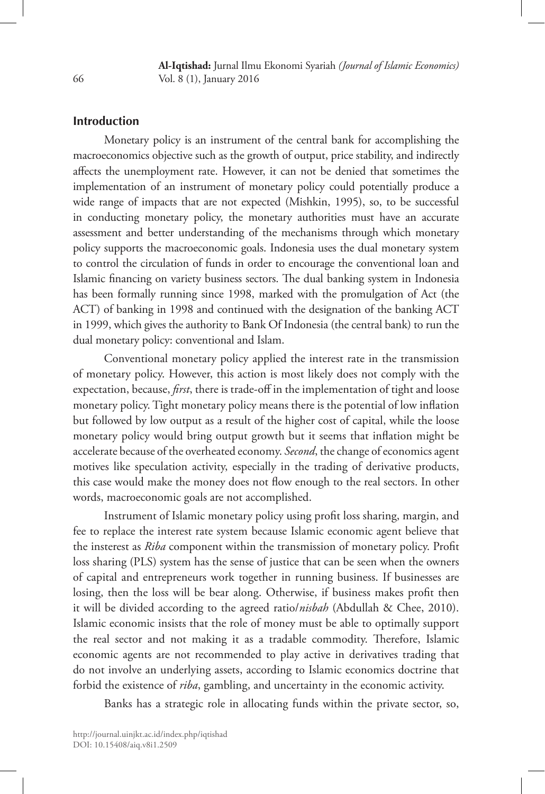**Al-Iqtishad:** Jurnal Ilmu Ekonomi Syariah *(Journal of Islamic Economics)* Vol. 8 (1), January 2016

### **Introduction**

Monetary policy is an instrument of the central bank for accomplishing the macroeconomics objective such as the growth of output, price stability, and indirectly affects the unemployment rate. However, it can not be denied that sometimes the implementation of an instrument of monetary policy could potentially produce a wide range of impacts that are not expected (Mishkin, 1995), so, to be successful in conducting monetary policy, the monetary authorities must have an accurate assessment and better understanding of the mechanisms through which monetary policy supports the macroeconomic goals. Indonesia uses the dual monetary system to control the circulation of funds in order to encourage the conventional loan and Islamic financing on variety business sectors. The dual banking system in Indonesia has been formally running since 1998, marked with the promulgation of Act (the ACT) of banking in 1998 and continued with the designation of the banking ACT in 1999, which gives the authority to Bank Of Indonesia (the central bank) to run the dual monetary policy: conventional and Islam.

Conventional monetary policy applied the interest rate in the transmission of monetary policy. However, this action is most likely does not comply with the expectation, because, *first*, there is trade-off in the implementation of tight and loose monetary policy. Tight monetary policy means there is the potential of low inflation but followed by low output as a result of the higher cost of capital, while the loose monetary policy would bring output growth but it seems that inflation might be accelerate because of the overheated economy. *Second*, the change of economics agent motives like speculation activity, especially in the trading of derivative products, this case would make the money does not flow enough to the real sectors. In other words, macroeconomic goals are not accomplished.

Instrument of Islamic monetary policy using profit loss sharing, margin, and fee to replace the interest rate system because Islamic economic agent believe that the insterest as *Riba* component within the transmission of monetary policy. Profit loss sharing (PLS) system has the sense of justice that can be seen when the owners of capital and entrepreneurs work together in running business. If businesses are losing, then the loss will be bear along. Otherwise, if business makes profit then it will be divided according to the agreed ratio/*nisbah* (Abdullah & Chee, 2010). Islamic economic insists that the role of money must be able to optimally support the real sector and not making it as a tradable commodity. Therefore, Islamic economic agents are not recommended to play active in derivatives trading that do not involve an underlying assets, according to Islamic economics doctrine that forbid the existence of *riba*, gambling, and uncertainty in the economic activity.

Banks has a strategic role in allocating funds within the private sector, so,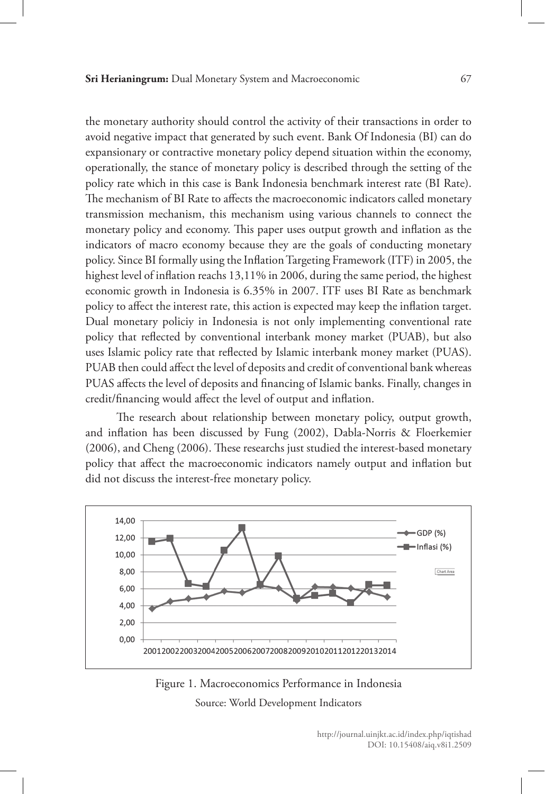the monetary authority should control the activity of their transactions in order to avoid negative impact that generated by such event. Bank Of Indonesia (BI) can do expansionary or contractive monetary policy depend situation within the economy, operationally, the stance of monetary policy is described through the setting of the policy rate which in this case is Bank Indonesia benchmark interest rate (BI Rate). The mechanism of BI Rate to affects the macroeconomic indicators called monetary transmission mechanism, this mechanism using various channels to connect the monetary policy and economy. This paper uses output growth and inflation as the indicators of macro economy because they are the goals of conducting monetary policy. Since BI formally using the Inflation Targeting Framework (ITF) in 2005, the highest level of inflation reachs 13,11% in 2006, during the same period, the highest economic growth in Indonesia is 6.35% in 2007. ITF uses BI Rate as benchmark policy to affect the interest rate, this action is expected may keep the inflation target. Dual monetary policiy in Indonesia is not only implementing conventional rate policy that reflected by conventional interbank money market (PUAB), but also uses Islamic policy rate that reflected by Islamic interbank money market (PUAS). PUAB then could affect the level of deposits and credit of conventional bank whereas PUAS affects the level of deposits and financing of Islamic banks. Finally, changes in credit/financing would affect the level of output and inflation.

The research about relationship between monetary policy, output growth, and inflation has been discussed by Fung (2002), Dabla-Norris & Floerkemier (2006), and Cheng (2006). These researchs just studied the interest-based monetary policy that affect the macroeconomic indicators namely output and inflation but did not discuss the interest-free monetary policy.



Figure 1. Macroeconomics Performance in Indonesia Source: World Development Indicators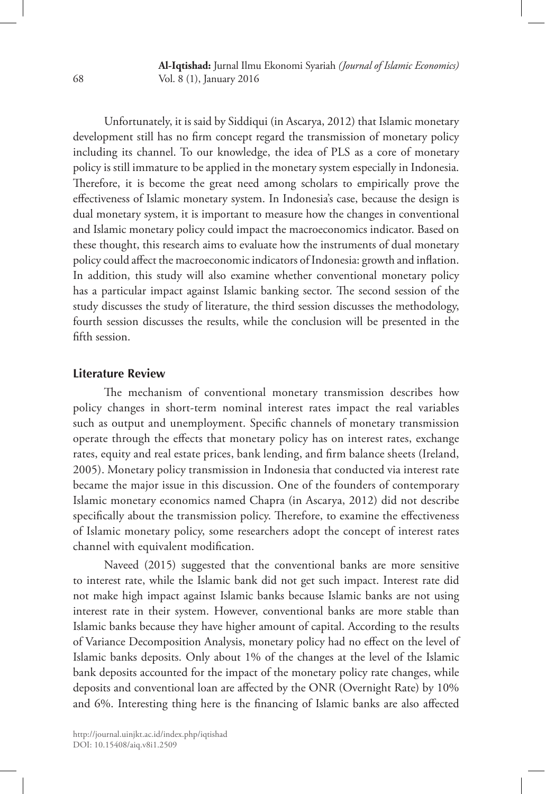**Al-Iqtishad:** Jurnal Ilmu Ekonomi Syariah *(Journal of Islamic Economics)* Vol. 8 (1), January 2016

Unfortunately, it is said by Siddiqui (in Ascarya, 2012) that Islamic monetary development still has no firm concept regard the transmission of monetary policy including its channel. To our knowledge, the idea of PLS as a core of monetary policy is still immature to be applied in the monetary system especially in Indonesia. Therefore, it is become the great need among scholars to empirically prove the effectiveness of Islamic monetary system. In Indonesia's case, because the design is dual monetary system, it is important to measure how the changes in conventional and Islamic monetary policy could impact the macroeconomics indicator. Based on these thought, this research aims to evaluate how the instruments of dual monetary policy could affect the macroeconomic indicators of Indonesia: growth and inflation. In addition, this study will also examine whether conventional monetary policy has a particular impact against Islamic banking sector. The second session of the study discusses the study of literature, the third session discusses the methodology, fourth session discusses the results, while the conclusion will be presented in the fifth session.

### **Literature Review**

The mechanism of conventional monetary transmission describes how policy changes in short-term nominal interest rates impact the real variables such as output and unemployment. Specific channels of monetary transmission operate through the effects that monetary policy has on interest rates, exchange rates, equity and real estate prices, bank lending, and firm balance sheets (Ireland, 2005). Monetary policy transmission in Indonesia that conducted via interest rate became the major issue in this discussion. One of the founders of contemporary Islamic monetary economics named Chapra (in Ascarya, 2012) did not describe specifically about the transmission policy. Therefore, to examine the effectiveness of Islamic monetary policy, some researchers adopt the concept of interest rates channel with equivalent modification.

Naveed (2015) suggested that the conventional banks are more sensitive to interest rate, while the Islamic bank did not get such impact. Interest rate did not make high impact against Islamic banks because Islamic banks are not using interest rate in their system. However, conventional banks are more stable than Islamic banks because they have higher amount of capital. According to the results of Variance Decomposition Analysis, monetary policy had no effect on the level of Islamic banks deposits. Only about 1% of the changes at the level of the Islamic bank deposits accounted for the impact of the monetary policy rate changes, while deposits and conventional loan are affected by the ONR (Overnight Rate) by 10% and 6%. Interesting thing here is the financing of Islamic banks are also affected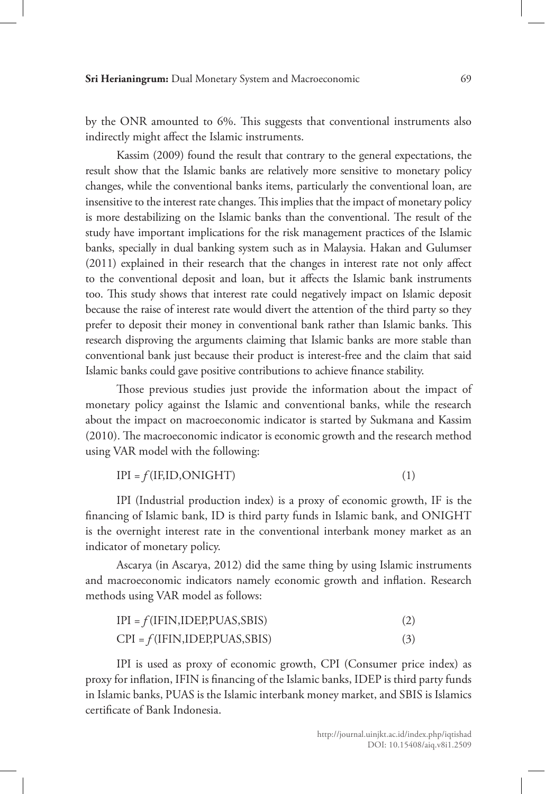by the ONR amounted to 6%. This suggests that conventional instruments also indirectly might affect the Islamic instruments.

Kassim (2009) found the result that contrary to the general expectations, the result show that the Islamic banks are relatively more sensitive to monetary policy changes, while the conventional banks items, particularly the conventional loan, are insensitive to the interest rate changes. This implies that the impact of monetary policy is more destabilizing on the Islamic banks than the conventional. The result of the study have important implications for the risk management practices of the Islamic banks, specially in dual banking system such as in Malaysia. Hakan and Gulumser (2011) explained in their research that the changes in interest rate not only affect to the conventional deposit and loan, but it affects the Islamic bank instruments too. This study shows that interest rate could negatively impact on Islamic deposit because the raise of interest rate would divert the attention of the third party so they prefer to deposit their money in conventional bank rather than Islamic banks. This research disproving the arguments claiming that Islamic banks are more stable than conventional bank just because their product is interest-free and the claim that said Islamic banks could gave positive contributions to achieve finance stability.

Those previous studies just provide the information about the impact of monetary policy against the Islamic and conventional banks, while the research about the impact on macroeconomic indicator is started by Sukmana and Kassim (2010). The macroeconomic indicator is economic growth and the research method using VAR model with the following:

$$
IPI = f(IF, ID, ONIGHT) \tag{1}
$$

IPI (Industrial production index) is a proxy of economic growth, IF is the financing of Islamic bank, ID is third party funds in Islamic bank, and ONIGHT is the overnight interest rate in the conventional interbank money market as an indicator of monetary policy.

Ascarya (in Ascarya, 2012) did the same thing by using Islamic instruments and macroeconomic indicators namely economic growth and inflation. Research methods using VAR model as follows:

| $IPI = f(IFIN, IDEP, PUAS, SBIS)$ | (2) |
|-----------------------------------|-----|
| $CPI = f(IFIN, IDEP, PUAS, SBIS)$ | (3) |

IPI is used as proxy of economic growth, CPI (Consumer price index) as proxy for inflation, IFIN is financing of the Islamic banks, IDEP is third party funds in Islamic banks, PUAS is the Islamic interbank money market, and SBIS is Islamics certificate of Bank Indonesia.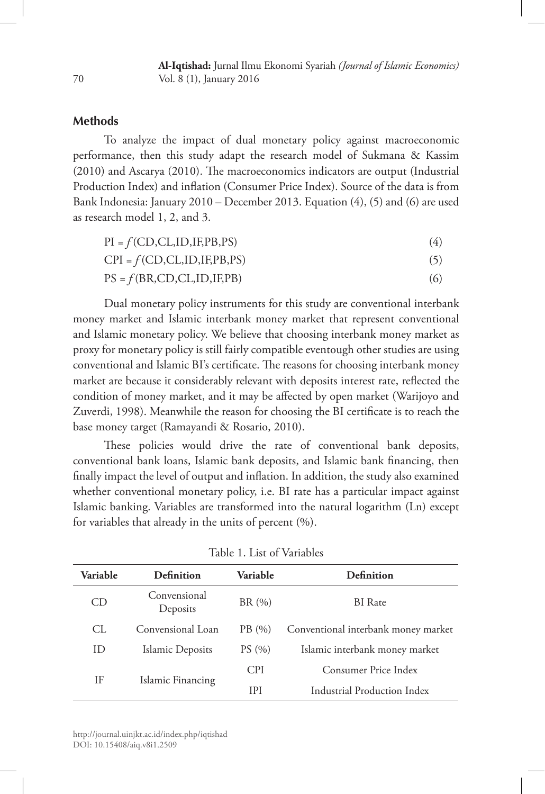### **Methods**

To analyze the impact of dual monetary policy against macroeconomic performance, then this study adapt the research model of Sukmana & Kassim (2010) and Ascarya (2010). The macroeconomics indicators are output (Industrial Production Index) and inflation (Consumer Price Index). Source of the data is from Bank Indonesia: January 2010 – December 2013. Equation (4), (5) and (6) are used as research model 1, 2, and 3.

$$
PI = f(CD, CL, ID, IF, PB, PS)
$$
 (4)

 $CPI = f(CD, CL, ID, IF, PB, PS)$  (5)

 $PS = f(BR, CD, CL, ID, IF, PB)$  (6)

Dual monetary policy instruments for this study are conventional interbank money market and Islamic interbank money market that represent conventional and Islamic monetary policy. We believe that choosing interbank money market as proxy for monetary policy is still fairly compatible eventough other studies are using conventional and Islamic BI's certificate. The reasons for choosing interbank money market are because it considerably relevant with deposits interest rate, reflected the condition of money market, and it may be affected by open market (Warijoyo and Zuverdi, 1998). Meanwhile the reason for choosing the BI certificate is to reach the base money target (Ramayandi & Rosario, 2010).

These policies would drive the rate of conventional bank deposits, conventional bank loans, Islamic bank deposits, and Islamic bank financing, then finally impact the level of output and inflation. In addition, the study also examined whether conventional monetary policy, i.e. BI rate has a particular impact against Islamic banking. Variables are transformed into the natural logarithm (Ln) except for variables that already in the units of percent (%).

| <b>Variable</b> | Definition<br>Variable   |                                               | Definition                     |  |
|-----------------|--------------------------|-----------------------------------------------|--------------------------------|--|
| CD              | Convensional<br>Deposits | BR(%)                                         | <b>BI</b> Rate                 |  |
| CL.             | Convensional Loan        | Conventional interbank money market<br>PB (%) |                                |  |
| ID              | Islamic Deposits         | PS(%)                                         | Islamic interbank money market |  |
| ΙF              | Islamic Financing        | <b>CPI</b>                                    | Consumer Price Index           |  |
|                 |                          | IPI                                           | Industrial Production Index    |  |

| Table 1. List of Variables |
|----------------------------|
|----------------------------|

http://journal.uinjkt.ac.id/index.php/iqtishad DOI: 10.15408/aiq.v8i1.2509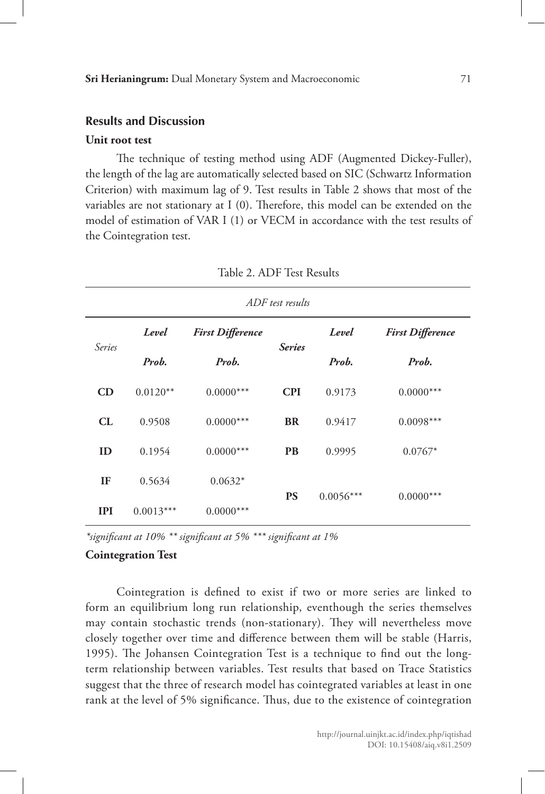### **Results and Discussion**

#### **Unit root test**

The technique of testing method using ADF (Augmented Dickey-Fuller), the length of the lag are automatically selected based on SIC (Schwartz Information Criterion) with maximum lag of 9. Test results in Table 2 shows that most of the variables are not stationary at I (0). Therefore, this model can be extended on the model of estimation of VAR I (1) or VECM in accordance with the test results of the Cointegration test.

| ADF test results |                                  |             |               |             |                         |
|------------------|----------------------------------|-------------|---------------|-------------|-------------------------|
| Series           | Level<br><b>First Difference</b> |             |               | Level       | <b>First Difference</b> |
|                  | Prob.                            | Prob.       | <b>Series</b> | Prob.       | Prob.                   |
| CD               | $0.0120**$                       | $0.0000***$ | <b>CPI</b>    | 0.9173      | $0.0000***$             |
| CL               | 0.9508                           | $0.0000***$ | <b>BR</b>     | 0.9417      | $0.0098***$             |
| ID               | 0.1954                           | $0.0000***$ | <b>PB</b>     | 0.9995      | $0.0767*$               |
| IF               | 0.5634                           | $0.0632*$   |               | $0.0056***$ | $0.0000***$             |
| <b>IPI</b>       | $0.0013***$                      | $0.0000***$ | <b>PS</b>     |             |                         |

Table 2. ADF Test Results

*\*significant at 10% \*\* significant at 5% \*\*\* significant at 1%* 

#### **Cointegration Test**

Cointegration is defined to exist if two or more series are linked to form an equilibrium long run relationship, eventhough the series themselves may contain stochastic trends (non-stationary). They will nevertheless move closely together over time and difference between them will be stable (Harris, 1995). The Johansen Cointegration Test is a technique to find out the longterm relationship between variables. Test results that based on Trace Statistics suggest that the three of research model has cointegrated variables at least in one rank at the level of 5% significance. Thus, due to the existence of cointegration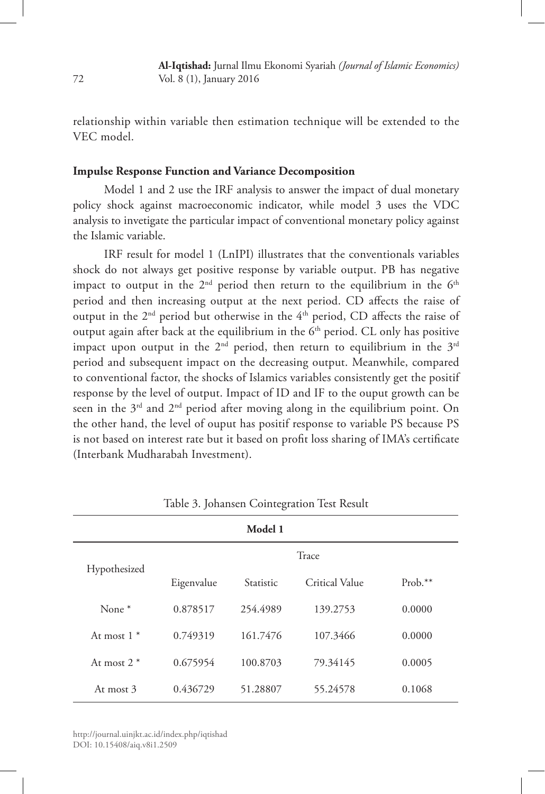relationship within variable then estimation technique will be extended to the VEC model.

### **Impulse Response Function and Variance Decomposition**

Model 1 and 2 use the IRF analysis to answer the impact of dual monetary policy shock against macroeconomic indicator, while model 3 uses the VDC analysis to invetigate the particular impact of conventional monetary policy against the Islamic variable.

IRF result for model 1 (LnIPI) illustrates that the conventionals variables shock do not always get positive response by variable output. PB has negative impact to output in the  $2<sup>nd</sup>$  period then return to the equilibrium in the  $6<sup>th</sup>$ period and then increasing output at the next period. CD affects the raise of output in the 2<sup>nd</sup> period but otherwise in the 4<sup>th</sup> period, CD affects the raise of output again after back at the equilibrium in the  $6<sup>th</sup>$  period. CL only has positive impact upon output in the  $2<sup>nd</sup>$  period, then return to equilibrium in the  $3<sup>rd</sup>$ period and subsequent impact on the decreasing output. Meanwhile, compared to conventional factor, the shocks of Islamics variables consistently get the positif response by the level of output. Impact of ID and IF to the ouput growth can be seen in the  $3<sup>rd</sup>$  and  $2<sup>nd</sup>$  period after moving along in the equilibrium point. On the other hand, the level of ouput has positif response to variable PS because PS is not based on interest rate but it based on profit loss sharing of IMA's certificate (Interbank Mudharabah Investment).

| Model 1       |            |           |                |         |  |
|---------------|------------|-----------|----------------|---------|--|
| Hypothesized  | Trace      |           |                |         |  |
|               | Eigenvalue | Statistic | Critical Value | Prob.** |  |
| None $*$      | 0.878517   | 254.4989  | 139.2753       | 0.0000  |  |
| At most $1^*$ | 0.749319   | 161.7476  | 107.3466       | 0.0000  |  |
| At most $2*$  | 0.675954   | 100.8703  | 79.34145       | 0.0005  |  |
| At most 3     | 0.436729   | 51.28807  | 55.24578       | 0.1068  |  |

Table 3. Johansen Cointegration Test Result

http://journal.uinjkt.ac.id/index.php/iqtishad DOI: 10.15408/aiq.v8i1.2509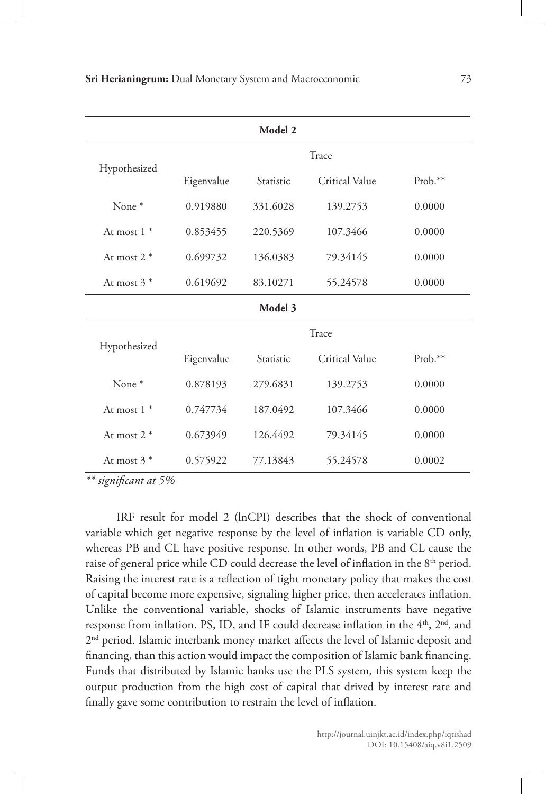| Model 2           |            |           |                       |           |  |  |
|-------------------|------------|-----------|-----------------------|-----------|--|--|
|                   | Trace      |           |                       |           |  |  |
| Hypothesized      | Eigenvalue | Statistic | Critical Value        | $Prob.**$ |  |  |
| None $*$          | 0.919880   | 331.6028  | 139.2753              | 0.0000    |  |  |
| At most $1 *$     | 0.853455   | 220.5369  | 107.3466              | 0.0000    |  |  |
| At most $2*$      | 0.699732   | 136.0383  | 79.34145              | 0.0000    |  |  |
| At most $3*$      | 0.619692   | 83.10271  | 55.24578              | 0.0000    |  |  |
| Model 3           |            |           |                       |           |  |  |
| Hypothesized      | Trace      |           |                       |           |  |  |
|                   | Eigenvalue | Statistic | <b>Critical Value</b> | $Prob.**$ |  |  |
| None <sup>*</sup> | 0.878193   | 279.6831  | 139.2753              | 0.0000    |  |  |
| At most $1 *$     | 0.747734   | 187.0492  | 107.3466              | 0.0000    |  |  |
| At most $2*$      | 0.673949   | 126.4492  | 79.34145              | 0.0000    |  |  |
| At most $3*$      | 0.575922   | 77.13843  | 55.24578              | 0.0002    |  |  |

*\*\* significant at 5%*

IRF result for model 2 (lnCPI) describes that the shock of conventional variable which get negative response by the level of inflation is variable CD only, whereas PB and CL have positive response. In other words, PB and CL cause the raise of general price while CD could decrease the level of inflation in the 8<sup>th</sup> period. Raising the interest rate is a reflection of tight monetary policy that makes the cost of capital become more expensive, signaling higher price, then accelerates inflation. Unlike the conventional variable, shocks of Islamic instruments have negative response from inflation. PS, ID, and IF could decrease inflation in the  $4<sup>th</sup>$ ,  $2<sup>nd</sup>$ , and 2<sup>nd</sup> period. Islamic interbank money market affects the level of Islamic deposit and financing, than this action would impact the composition of Islamic bank financing. Funds that distributed by Islamic banks use the PLS system, this system keep the output production from the high cost of capital that drived by interest rate and finally gave some contribution to restrain the level of inflation.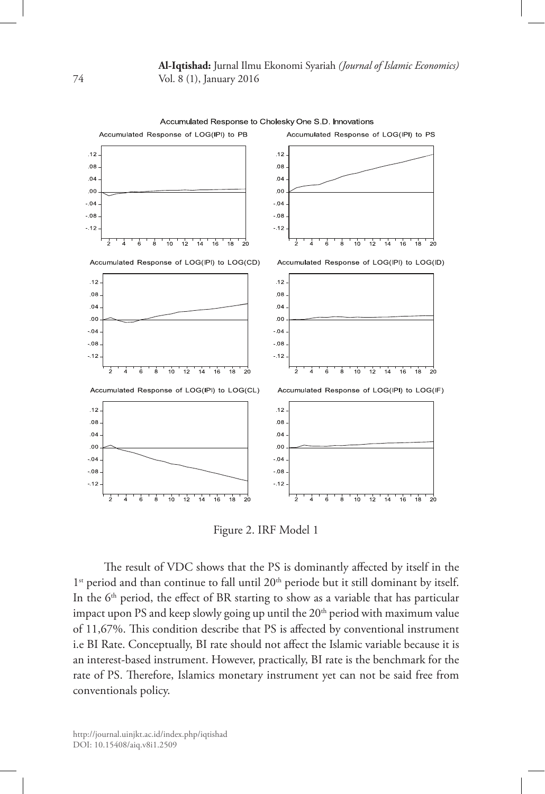Accumulated Response to Cholesky One S.D. Innovations



Figure 2. IRF Model 1

The result of VDC shows that the PS is dominantly affected by itself in the 1<sup>st</sup> period and than continue to fall until 20<sup>th</sup> periode but it still dominant by itself. In the 6<sup>th</sup> period, the effect of BR starting to show as a variable that has particular impact upon PS and keep slowly going up until the  $20<sup>th</sup>$  period with maximum value of 11,67%. This condition describe that PS is affected by conventional instrument i.e BI Rate. Conceptually, BI rate should not affect the Islamic variable because it is an interest-based instrument. However, practically, BI rate is the benchmark for the rate of PS. Therefore, Islamics monetary instrument yet can not be said free from conventionals policy.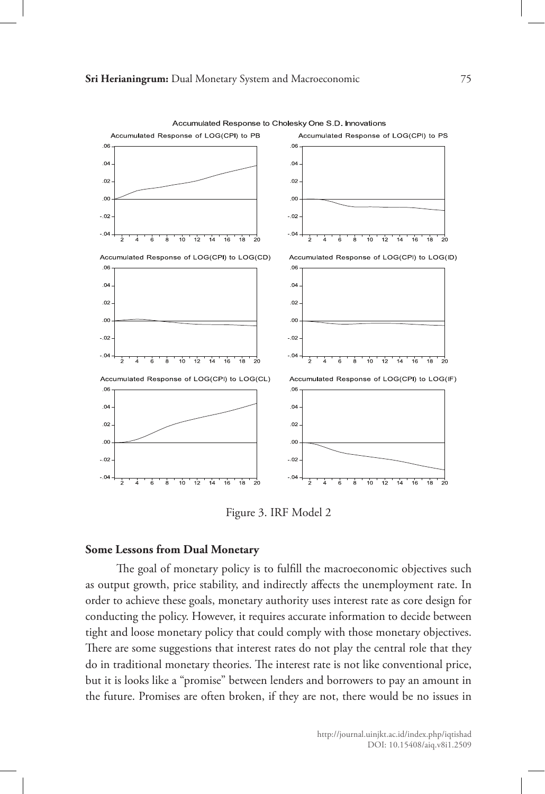

Accumulated Response to Cholesky One S.D. Innovations

Figure 3. IRF Model 2

### **Some Lessons from Dual Monetary**

The goal of monetary policy is to fulfill the macroeconomic objectives such as output growth, price stability, and indirectly affects the unemployment rate. In order to achieve these goals, monetary authority uses interest rate as core design for conducting the policy. However, it requires accurate information to decide between tight and loose monetary policy that could comply with those monetary objectives. There are some suggestions that interest rates do not play the central role that they do in traditional monetary theories. The interest rate is not like conventional price, but it is looks like a "promise" between lenders and borrowers to pay an amount in the future. Promises are often broken, if they are not, there would be no issues in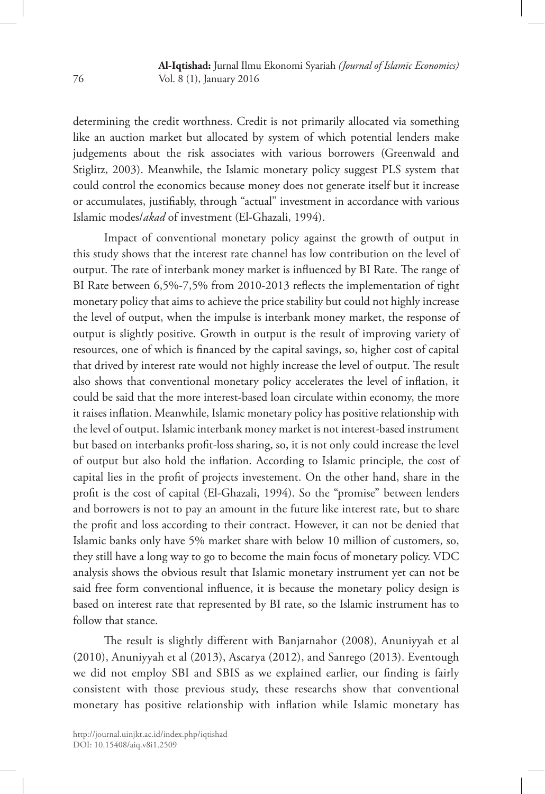determining the credit worthness. Credit is not primarily allocated via something like an auction market but allocated by system of which potential lenders make judgements about the risk associates with various borrowers (Greenwald and Stiglitz, 2003). Meanwhile, the Islamic monetary policy suggest PLS system that could control the economics because money does not generate itself but it increase or accumulates, justifiably, through "actual" investment in accordance with various Islamic modes/*akad* of investment (El-Ghazali, 1994).

Impact of conventional monetary policy against the growth of output in this study shows that the interest rate channel has low contribution on the level of output. The rate of interbank money market is influenced by BI Rate. The range of BI Rate between 6,5%-7,5% from 2010-2013 reflects the implementation of tight monetary policy that aims to achieve the price stability but could not highly increase the level of output, when the impulse is interbank money market, the response of output is slightly positive. Growth in output is the result of improving variety of resources, one of which is financed by the capital savings, so, higher cost of capital that drived by interest rate would not highly increase the level of output. The result also shows that conventional monetary policy accelerates the level of inflation, it could be said that the more interest-based loan circulate within economy, the more it raises inflation. Meanwhile, Islamic monetary policy has positive relationship with the level of output. Islamic interbank money market is not interest-based instrument but based on interbanks profit-loss sharing, so, it is not only could increase the level of output but also hold the inflation. According to Islamic principle, the cost of capital lies in the profit of projects investement. On the other hand, share in the profit is the cost of capital (El-Ghazali, 1994). So the "promise" between lenders and borrowers is not to pay an amount in the future like interest rate, but to share the profit and loss according to their contract. However, it can not be denied that Islamic banks only have 5% market share with below 10 million of customers, so, they still have a long way to go to become the main focus of monetary policy. VDC analysis shows the obvious result that Islamic monetary instrument yet can not be said free form conventional influence, it is because the monetary policy design is based on interest rate that represented by BI rate, so the Islamic instrument has to follow that stance.

The result is slightly different with Banjarnahor (2008), Anuniyyah et al (2010), Anuniyyah et al (2013), Ascarya (2012), and Sanrego (2013). Eventough we did not employ SBI and SBIS as we explained earlier, our finding is fairly consistent with those previous study, these researchs show that conventional monetary has positive relationship with inflation while Islamic monetary has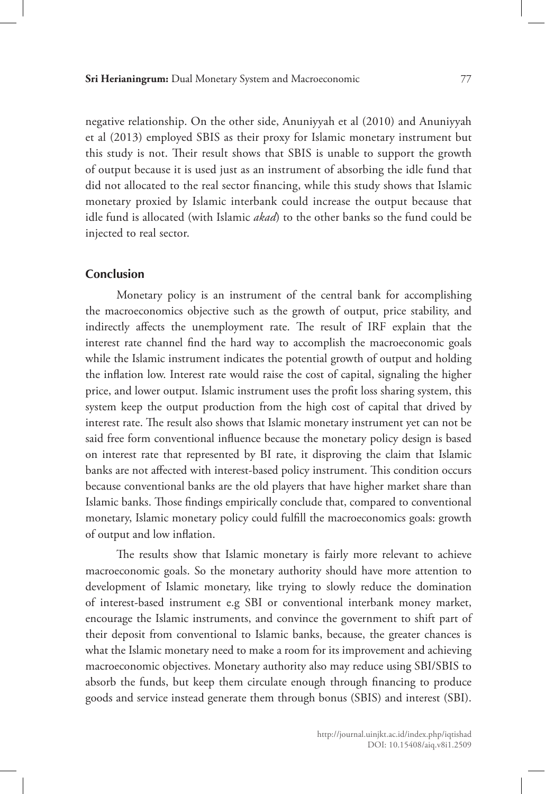negative relationship. On the other side, Anuniyyah et al (2010) and Anuniyyah et al (2013) employed SBIS as their proxy for Islamic monetary instrument but this study is not. Their result shows that SBIS is unable to support the growth of output because it is used just as an instrument of absorbing the idle fund that did not allocated to the real sector financing, while this study shows that Islamic monetary proxied by Islamic interbank could increase the output because that idle fund is allocated (with Islamic *akad*) to the other banks so the fund could be injected to real sector.

## **Conclusion**

Monetary policy is an instrument of the central bank for accomplishing the macroeconomics objective such as the growth of output, price stability, and indirectly affects the unemployment rate. The result of IRF explain that the interest rate channel find the hard way to accomplish the macroeconomic goals while the Islamic instrument indicates the potential growth of output and holding the inflation low. Interest rate would raise the cost of capital, signaling the higher price, and lower output. Islamic instrument uses the profit loss sharing system, this system keep the output production from the high cost of capital that drived by interest rate. The result also shows that Islamic monetary instrument yet can not be said free form conventional influence because the monetary policy design is based on interest rate that represented by BI rate, it disproving the claim that Islamic banks are not affected with interest-based policy instrument. This condition occurs because conventional banks are the old players that have higher market share than Islamic banks. Those findings empirically conclude that, compared to conventional monetary, Islamic monetary policy could fulfill the macroeconomics goals: growth of output and low inflation.

The results show that Islamic monetary is fairly more relevant to achieve macroeconomic goals. So the monetary authority should have more attention to development of Islamic monetary, like trying to slowly reduce the domination of interest-based instrument e.g SBI or conventional interbank money market, encourage the Islamic instruments, and convince the government to shift part of their deposit from conventional to Islamic banks, because, the greater chances is what the Islamic monetary need to make a room for its improvement and achieving macroeconomic objectives. Monetary authority also may reduce using SBI/SBIS to absorb the funds, but keep them circulate enough through financing to produce goods and service instead generate them through bonus (SBIS) and interest (SBI).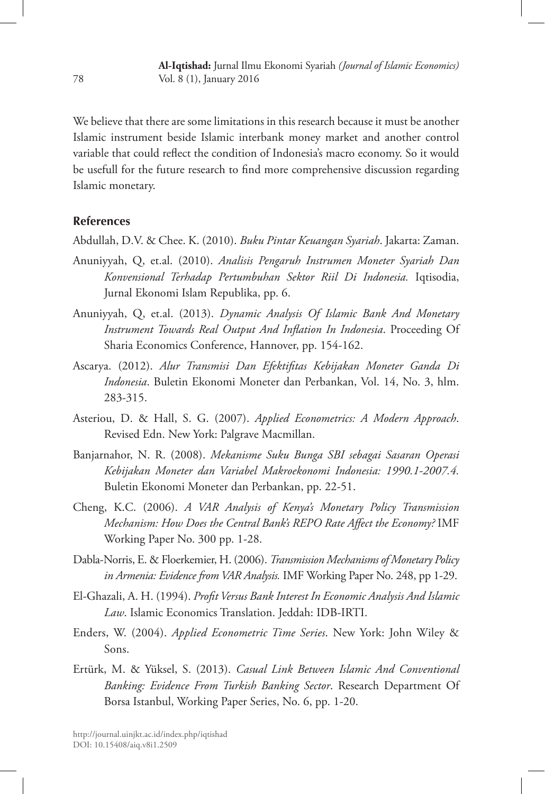We believe that there are some limitations in this research because it must be another Islamic instrument beside Islamic interbank money market and another control variable that could reflect the condition of Indonesia's macro economy. So it would be usefull for the future research to find more comprehensive discussion regarding Islamic monetary.

### **References**

Abdullah, D.V. & Chee. K. (2010). *Buku Pintar Keuangan Syariah*. Jakarta: Zaman.

- Anuniyyah, Q, et.al. (2010). *Analisis Pengaruh Instrumen Moneter Syariah Dan Konvensional Terhadap Pertumbuhan Sektor Riil Di Indonesia.* Iqtisodia, Jurnal Ekonomi Islam Republika, pp. 6.
- Anuniyyah, Q, et.al. (2013). *Dynamic Analysis Of Islamic Bank And Monetary Instrument Towards Real Output And Inflation In Indonesia*. Proceeding Of Sharia Economics Conference, Hannover, pp. 154-162.
- Ascarya. (2012). *Alur Transmisi Dan Efektifitas Kebijakan Moneter Ganda Di Indonesia*. Buletin Ekonomi Moneter dan Perbankan, Vol. 14, No. 3, hlm. 283-315.
- Asteriou, D. & Hall, S. G. (2007). *Applied Econometrics: A Modern Approach*. Revised Edn. New York: Palgrave Macmillan.
- Banjarnahor, N. R. (2008). *Mekanisme Suku Bunga SBI sebagai Sasaran Operasi Kebijakan Moneter dan Variabel Makroekonomi Indonesia: 1990.1-2007.4.*  Buletin Ekonomi Moneter dan Perbankan, pp. 22-51.
- Cheng, K.C. (2006). *A VAR Analysis of Kenya's Monetary Policy Transmission Mechanism: How Does the Central Bank's REPO Rate Affect the Economy?* IMF Working Paper No. 300 pp. 1-28.
- Dabla-Norris, E. & Floerkemier, H. (2006). *Transmission Mechanisms of Monetary Policy in Armenia: Evidence from VAR Analysis.* IMF Working Paper No. 248, pp 1-29.
- El-Ghazali, A. H. (1994). *Profit Versus Bank Interest In Economic Analysis And Islamic Law*. Islamic Economics Translation. Jeddah: IDB-IRTI.
- Enders, W. (2004). *Applied Econometric Time Series*. New York: John Wiley & Sons.
- Ertürk, M. & Yüksel, S. (2013). *Casual Link Between Islamic And Conventional Banking: Evidence From Turkish Banking Sector*. Research Department Of Borsa Istanbul, Working Paper Series, No. 6, pp. 1-20.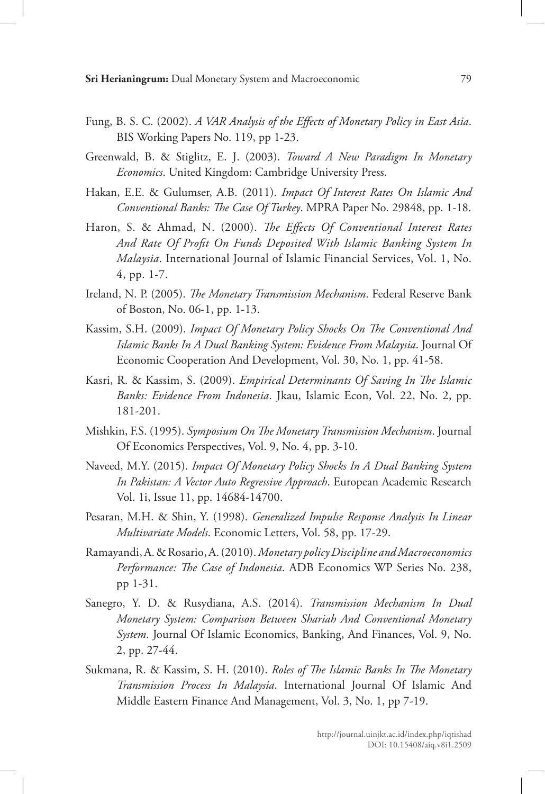- Fung, B. S. C. (2002). *A VAR Analysis of the Effects of Monetary Policy in East Asia*. BIS Working Papers No. 119, pp 1-23.
- Greenwald, B. & Stiglitz, E. J. (2003). *Toward A New Paradigm In Monetary Economics*. United Kingdom: Cambridge University Press.
- Hakan, E.E. & Gulumser, A.B. (2011). *Impact Of Interest Rates On Islamic And Conventional Banks: The Case Of Turkey*. MPRA Paper No. 29848, pp. 1-18.
- Haron, S. & Ahmad, N. (2000). *The Effects Of Conventional Interest Rates And Rate Of Profit On Funds Deposited With Islamic Banking System In Malaysia*. International Journal of Islamic Financial Services, Vol. 1, No. 4, pp. 1-7.
- Ireland, N. P. (2005). *The Monetary Transmission Mechanism*. Federal Reserve Bank of Boston, No. 06-1, pp. 1-13.
- Kassim, S.H. (2009). *Impact Of Monetary Policy Shocks On The Conventional And Islamic Banks In A Dual Banking System: Evidence From Malaysia*. Journal Of Economic Cooperation And Development, Vol. 30, No. 1, pp. 41-58.
- Kasri, R. & Kassim, S. (2009). *Empirical Determinants Of Saving In The Islamic Banks: Evidence From Indonesia*. Jkau, Islamic Econ, Vol. 22, No. 2, pp. 181-201.
- Mishkin, F.S. (1995). *Symposium On The Monetary Transmission Mechanism*. Journal Of Economics Perspectives, Vol. 9, No. 4, pp. 3-10.
- Naveed, M.Y. (2015). *Impact Of Monetary Policy Shocks In A Dual Banking System In Pakistan: A Vector Auto Regressive Approach*. European Academic Research Vol. 1i, Issue 11, pp. 14684-14700.
- Pesaran, M.H. & Shin, Y. (1998). *Generalized Impulse Response Analysis In Linear Multivariate Models*. Economic Letters, Vol. 58, pp. 17-29.
- Ramayandi, A. & Rosario, A. (2010). *Monetary policy Discipline and Macroeconomics Performance: The Case of Indonesia*. ADB Economics WP Series No. 238, pp 1-31.
- Sanegro, Y. D. & Rusydiana, A.S. (2014). *Transmission Mechanism In Dual Monetary System: Comparison Between Shariah And Conventional Monetary System*. Journal Of Islamic Economics, Banking, And Finances, Vol. 9, No. 2, pp. 27-44.
- Sukmana, R. & Kassim, S. H. (2010). *Roles of The Islamic Banks In The Monetary Transmission Process In Malaysia*. International Journal Of Islamic And Middle Eastern Finance And Management, Vol. 3, No. 1, pp 7-19.